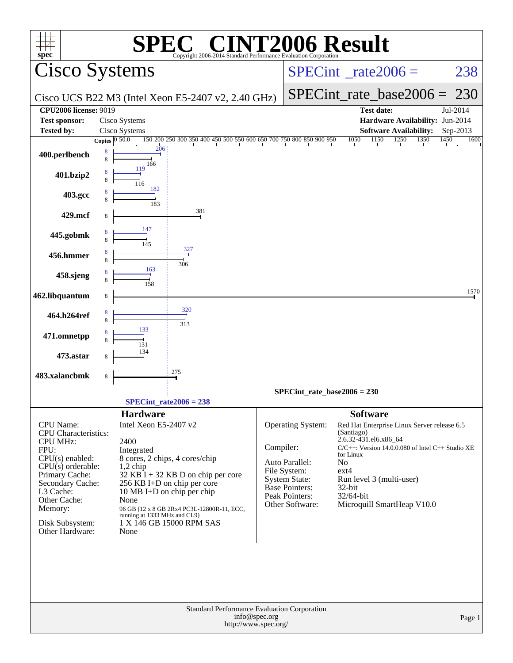| <b>INT2006 Result</b><br>$\left( \begin{array}{c} \n\sqrt{1-x^2} & \sqrt{1-x^2} \\ \n\end{array} \right)$<br>$spec^*$<br>Copyright 2006-2014 Standard Performance Evaluation Corporation                                                 |                                                                                                                                                                                                                                                                                                                                               |                                                                                                                                                                                                                                                                                                                                                                                                                                             |  |  |  |  |  |  |  |  |
|------------------------------------------------------------------------------------------------------------------------------------------------------------------------------------------------------------------------------------------|-----------------------------------------------------------------------------------------------------------------------------------------------------------------------------------------------------------------------------------------------------------------------------------------------------------------------------------------------|---------------------------------------------------------------------------------------------------------------------------------------------------------------------------------------------------------------------------------------------------------------------------------------------------------------------------------------------------------------------------------------------------------------------------------------------|--|--|--|--|--|--|--|--|
| Cisco Systems                                                                                                                                                                                                                            |                                                                                                                                                                                                                                                                                                                                               | $SPECint^{\circ}$ <sub>_rate2006</sub> =<br>238                                                                                                                                                                                                                                                                                                                                                                                             |  |  |  |  |  |  |  |  |
|                                                                                                                                                                                                                                          | Cisco UCS B22 M3 (Intel Xeon E5-2407 v2, 2.40 GHz)                                                                                                                                                                                                                                                                                            | $SPECint_rate\_base2006 =$<br>-230                                                                                                                                                                                                                                                                                                                                                                                                          |  |  |  |  |  |  |  |  |
| <b>CPU2006 license: 9019</b>                                                                                                                                                                                                             |                                                                                                                                                                                                                                                                                                                                               | <b>Test date:</b><br>Jul-2014                                                                                                                                                                                                                                                                                                                                                                                                               |  |  |  |  |  |  |  |  |
| <b>Test sponsor:</b><br><b>Tested by:</b>                                                                                                                                                                                                | Cisco Systems<br>Cisco Systems                                                                                                                                                                                                                                                                                                                | Hardware Availability: Jun-2014<br><b>Software Availability:</b><br>Sep-2013                                                                                                                                                                                                                                                                                                                                                                |  |  |  |  |  |  |  |  |
|                                                                                                                                                                                                                                          | Copies $\boxed{0.50.0}$                                                                                                                                                                                                                                                                                                                       | $\frac{150}{1} \cdot \frac{200}{200} \cdot \frac{250}{250} \cdot \frac{300}{1} \cdot \frac{350}{1} \cdot \frac{400}{1} \cdot \frac{400}{1} \cdot \frac{500}{1} \cdot \frac{550}{1} \cdot \frac{600}{1} \cdot \frac{650}{1} \cdot \frac{700}{1} \cdot \frac{700}{1} \cdot \frac{800}{1} \cdot \frac{850}{1} \cdot \frac{900}{1} \cdot \frac{950}{1} \cdot \frac{900}{1} \cdot \frac{950}{1} \cdot \frac{1050$<br>1450<br>1600                |  |  |  |  |  |  |  |  |
| 400.perlbench                                                                                                                                                                                                                            | 206<br>8<br>8<br>166<br>119                                                                                                                                                                                                                                                                                                                   |                                                                                                                                                                                                                                                                                                                                                                                                                                             |  |  |  |  |  |  |  |  |
| 401.bzip2                                                                                                                                                                                                                                | 8<br>116<br>182                                                                                                                                                                                                                                                                                                                               |                                                                                                                                                                                                                                                                                                                                                                                                                                             |  |  |  |  |  |  |  |  |
| 403.gcc                                                                                                                                                                                                                                  | 183                                                                                                                                                                                                                                                                                                                                           |                                                                                                                                                                                                                                                                                                                                                                                                                                             |  |  |  |  |  |  |  |  |
| 429.mcf                                                                                                                                                                                                                                  | 381<br>8                                                                                                                                                                                                                                                                                                                                      |                                                                                                                                                                                                                                                                                                                                                                                                                                             |  |  |  |  |  |  |  |  |
| 445.gobmk                                                                                                                                                                                                                                | 327                                                                                                                                                                                                                                                                                                                                           |                                                                                                                                                                                                                                                                                                                                                                                                                                             |  |  |  |  |  |  |  |  |
| 456.hmmer                                                                                                                                                                                                                                | 8<br>306                                                                                                                                                                                                                                                                                                                                      |                                                                                                                                                                                                                                                                                                                                                                                                                                             |  |  |  |  |  |  |  |  |
| 458.sjeng                                                                                                                                                                                                                                | 163                                                                                                                                                                                                                                                                                                                                           |                                                                                                                                                                                                                                                                                                                                                                                                                                             |  |  |  |  |  |  |  |  |
| 462.libquantum                                                                                                                                                                                                                           | 8                                                                                                                                                                                                                                                                                                                                             | 1570                                                                                                                                                                                                                                                                                                                                                                                                                                        |  |  |  |  |  |  |  |  |
| 464.h264ref                                                                                                                                                                                                                              | 320<br>8<br>313                                                                                                                                                                                                                                                                                                                               |                                                                                                                                                                                                                                                                                                                                                                                                                                             |  |  |  |  |  |  |  |  |
| 471.omnetpp                                                                                                                                                                                                                              | 133                                                                                                                                                                                                                                                                                                                                           |                                                                                                                                                                                                                                                                                                                                                                                                                                             |  |  |  |  |  |  |  |  |
| 473.astar                                                                                                                                                                                                                                |                                                                                                                                                                                                                                                                                                                                               |                                                                                                                                                                                                                                                                                                                                                                                                                                             |  |  |  |  |  |  |  |  |
| 483.xalancbmk                                                                                                                                                                                                                            | 275<br>8                                                                                                                                                                                                                                                                                                                                      |                                                                                                                                                                                                                                                                                                                                                                                                                                             |  |  |  |  |  |  |  |  |
|                                                                                                                                                                                                                                          |                                                                                                                                                                                                                                                                                                                                               | $SPECint_rate_base2006 = 230$                                                                                                                                                                                                                                                                                                                                                                                                               |  |  |  |  |  |  |  |  |
|                                                                                                                                                                                                                                          | SPECint rate $2006 = 238$                                                                                                                                                                                                                                                                                                                     |                                                                                                                                                                                                                                                                                                                                                                                                                                             |  |  |  |  |  |  |  |  |
| <b>CPU</b> Name:<br><b>CPU</b> Characteristics:<br><b>CPU MHz:</b><br>FPU:<br>$CPU(s)$ enabled:<br>CPU(s) orderable:<br>Primary Cache:<br>Secondary Cache:<br>L3 Cache:<br>Other Cache:<br>Memory:<br>Disk Subsystem:<br>Other Hardware: | <b>Hardware</b><br>Intel Xeon E5-2407 v2<br>2400<br>Integrated<br>8 cores, 2 chips, 4 cores/chip<br>$1,2$ chip<br>$32$ KB I + 32 KB D on chip per core<br>256 KB I+D on chip per core<br>10 MB I+D on chip per chip<br>None<br>96 GB (12 x 8 GB 2Rx4 PC3L-12800R-11, ECC,<br>running at 1333 MHz and CL9)<br>1 X 146 GB 15000 RPM SAS<br>None | <b>Software</b><br>Operating System:<br>Red Hat Enterprise Linux Server release 6.5<br>(Santiago)<br>2.6.32-431.el6.x86_64<br>Compiler:<br>$C/C++$ : Version 14.0.0.080 of Intel $C++$ Studio XE<br>for Linux<br>Auto Parallel:<br>No<br>File System:<br>$ext{4}$<br><b>System State:</b><br>Run level 3 (multi-user)<br><b>Base Pointers:</b><br>$32$ -bit<br>Peak Pointers:<br>32/64-bit<br>Microquill SmartHeap V10.0<br>Other Software: |  |  |  |  |  |  |  |  |
|                                                                                                                                                                                                                                          | Standard Performance Evaluation Corporation<br>info@spec.org<br>http://www.spec.org/                                                                                                                                                                                                                                                          | Page 1                                                                                                                                                                                                                                                                                                                                                                                                                                      |  |  |  |  |  |  |  |  |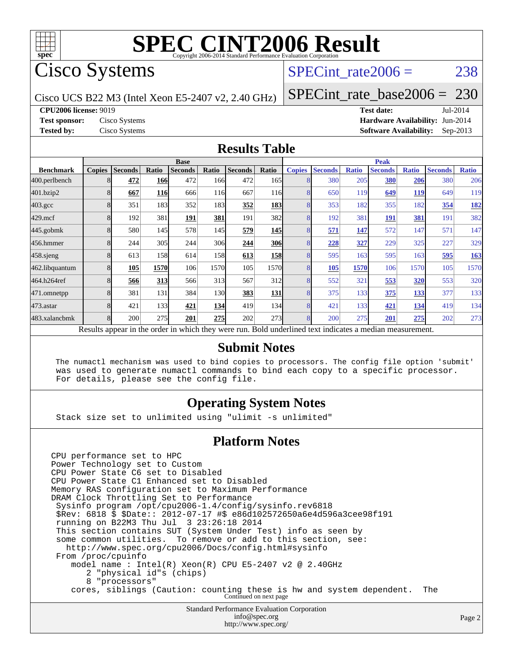

## Cisco Systems

### SPECint rate $2006 = 238$

Cisco UCS B22 M3 (Intel Xeon E5-2407 v2, 2.40 GHz)

[SPECint\\_rate\\_base2006 =](http://www.spec.org/auto/cpu2006/Docs/result-fields.html#SPECintratebase2006) 230

**[CPU2006 license:](http://www.spec.org/auto/cpu2006/Docs/result-fields.html#CPU2006license)** 9019 **[Test date:](http://www.spec.org/auto/cpu2006/Docs/result-fields.html#Testdate)** Jul-2014

**[Test sponsor:](http://www.spec.org/auto/cpu2006/Docs/result-fields.html#Testsponsor)** Cisco Systems **[Hardware Availability:](http://www.spec.org/auto/cpu2006/Docs/result-fields.html#HardwareAvailability)** Jun-2014 **[Tested by:](http://www.spec.org/auto/cpu2006/Docs/result-fields.html#Testedby)** Cisco Systems **[Software Availability:](http://www.spec.org/auto/cpu2006/Docs/result-fields.html#SoftwareAvailability)** Sep-2013

#### **[Results Table](http://www.spec.org/auto/cpu2006/Docs/result-fields.html#ResultsTable)**

|                                                                                                          | <b>Base</b>   |                |            |                |            |                |                  | <b>Peak</b>   |                |              |                |              |                |              |
|----------------------------------------------------------------------------------------------------------|---------------|----------------|------------|----------------|------------|----------------|------------------|---------------|----------------|--------------|----------------|--------------|----------------|--------------|
| <b>Benchmark</b>                                                                                         | <b>Copies</b> | <b>Seconds</b> | Ratio      | <b>Seconds</b> | Ratio      | <b>Seconds</b> | Ratio            | <b>Copies</b> | <b>Seconds</b> | <b>Ratio</b> | <b>Seconds</b> | <b>Ratio</b> | <b>Seconds</b> | <b>Ratio</b> |
| 400.perlbench                                                                                            | 8             | 472            | 166        | 472            | 166        | 472            | 165 <sup> </sup> |               | 380            | 205          | 380            | <u>206</u>   | 380            | 206          |
| 401.bzip2                                                                                                | 8             | 667            | <b>116</b> | 666            | 116        | 667            | <b>116</b>       |               | 650            | 119          | 649            | <b>119</b>   | 649            | 119          |
| $403.\mathrm{gcc}$                                                                                       | 8             | 351            | 183        | 352            | 183        | 352            | <b>183</b>       |               | 353            | 182          | 355            | 182          | 354            | <b>182</b>   |
| $429$ .mcf                                                                                               | 8             | 192            | 381        | 191            | 381        | 191            | 382              | 8             | 192            | 381          | 191            | 381          | 191            | 382          |
| $445$ .gobm $k$                                                                                          | 8             | 580            | 145        | 578            | 145        | 579            | <b>145</b>       |               | 571            | 147          | 572            | 147          | 571            | 147          |
| 456.hmmer                                                                                                |               | 244            | 305        | 244            | 306        | 244            | <b>306</b>       |               | 228            | 327          | 229            | 325          | 227            | 329          |
| 458.sjeng                                                                                                | 8             | 613            | 158        | 614            | <b>158</b> | 613            | <u>158</u>       |               | 595            | 163          | 595            | 163          | 595            | 163          |
| 462.libquantum                                                                                           | 8             | 105            | 1570       | 106            | 1570       | 105            | 1570             | 8             | 105            | 1570         | 106            | 1570         | 105            | 1570         |
| 464.h264ref                                                                                              | 8             | 566            | 313        | 566            | 313        | 567            | 312              | 8             | 552            | 321          | 553            | 320          | 553            | 320          |
| 471.omnetpp                                                                                              | 8             | 381            | 131        | 384            | 130I       | 383            | 131              |               | 375            | 133          | 375            | 133          | 377            | 133          |
| $473.$ astar                                                                                             | 8             | 421            | 133        | 421            | <b>134</b> | 419            | 134              | 8             | 421            | 133          | 421            | <u>134</u>   | 419            | 134          |
| 483.xalancbmk                                                                                            | 8             | 200            | 275        | 201            | 275        | 202            | 273              | 8             | 200            | 275          | 201            | 275          | 202            | 273          |
| Results appear in the order in which they were run. Bold underlined text indicates a median measurement. |               |                |            |                |            |                |                  |               |                |              |                |              |                |              |

#### **[Submit Notes](http://www.spec.org/auto/cpu2006/Docs/result-fields.html#SubmitNotes)**

 The numactl mechanism was used to bind copies to processors. The config file option 'submit' was used to generate numactl commands to bind each copy to a specific processor. For details, please see the config file.

#### **[Operating System Notes](http://www.spec.org/auto/cpu2006/Docs/result-fields.html#OperatingSystemNotes)**

Stack size set to unlimited using "ulimit -s unlimited"

#### **[Platform Notes](http://www.spec.org/auto/cpu2006/Docs/result-fields.html#PlatformNotes)**

Standard Performance Evaluation Corporation CPU performance set to HPC Power Technology set to Custom CPU Power State C6 set to Disabled CPU Power State C1 Enhanced set to Disabled Memory RAS configuration set to Maximum Performance DRAM Clock Throttling Set to Performance Sysinfo program /opt/cpu2006-1.4/config/sysinfo.rev6818 \$Rev: 6818 \$ \$Date:: 2012-07-17 #\$ e86d102572650a6e4d596a3cee98f191 running on B22M3 Thu Jul 3 23:26:18 2014 This section contains SUT (System Under Test) info as seen by some common utilities. To remove or add to this section, see: <http://www.spec.org/cpu2006/Docs/config.html#sysinfo> From /proc/cpuinfo model name : Intel(R) Xeon(R) CPU E5-2407 v2 @ 2.40GHz 2 "physical id"s (chips) 8 "processors" cores, siblings (Caution: counting these is hw and system dependent. The Continued on next page

[info@spec.org](mailto:info@spec.org) <http://www.spec.org/>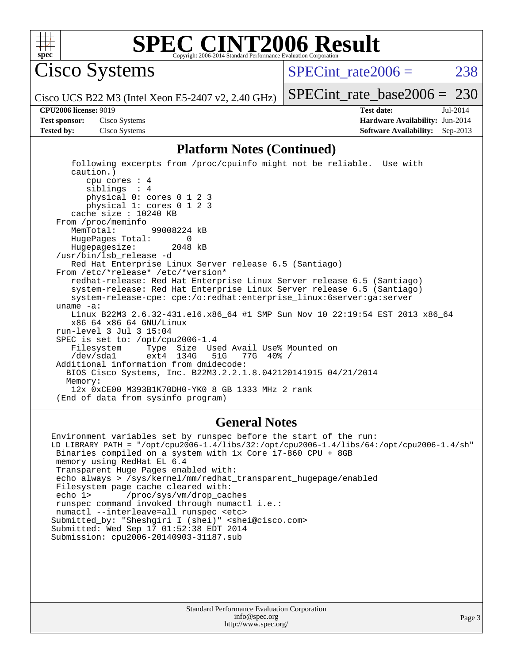

Cisco Systems

 $SPECTnt_rate2006 = 238$ 

[SPECint\\_rate\\_base2006 =](http://www.spec.org/auto/cpu2006/Docs/result-fields.html#SPECintratebase2006) 230

Cisco UCS B22 M3 (Intel Xeon E5-2407 v2, 2.40 GHz)

**[Tested by:](http://www.spec.org/auto/cpu2006/Docs/result-fields.html#Testedby)** Cisco Systems **[Software Availability:](http://www.spec.org/auto/cpu2006/Docs/result-fields.html#SoftwareAvailability)** Sep-2013

**[CPU2006 license:](http://www.spec.org/auto/cpu2006/Docs/result-fields.html#CPU2006license)** 9019 **[Test date:](http://www.spec.org/auto/cpu2006/Docs/result-fields.html#Testdate)** Jul-2014 **[Test sponsor:](http://www.spec.org/auto/cpu2006/Docs/result-fields.html#Testsponsor)** Cisco Systems **[Hardware Availability:](http://www.spec.org/auto/cpu2006/Docs/result-fields.html#HardwareAvailability)** Jun-2014

#### **[Platform Notes \(Continued\)](http://www.spec.org/auto/cpu2006/Docs/result-fields.html#PlatformNotes)**

 following excerpts from /proc/cpuinfo might not be reliable. Use with caution.) cpu cores : 4 siblings : 4 physical 0: cores 0 1 2 3 physical 1: cores 0 1 2 3 cache size : 10240 KB From /proc/meminfo MemTotal: 99008224 kB HugePages\_Total: 0<br>Hugepagesize: 2048 kB Hugepagesize: /usr/bin/lsb\_release -d Red Hat Enterprise Linux Server release 6.5 (Santiago) From /etc/\*release\* /etc/\*version\* redhat-release: Red Hat Enterprise Linux Server release 6.5 (Santiago) system-release: Red Hat Enterprise Linux Server release 6.5 (Santiago) system-release-cpe: cpe:/o:redhat:enterprise\_linux:6server:ga:server uname -a: Linux B22M3 2.6.32-431.el6.x86\_64 #1 SMP Sun Nov 10 22:19:54 EST 2013 x86\_64 x86\_64 x86\_64 GNU/Linux run-level 3 Jul 3 15:04 SPEC is set to: /opt/cpu2006-1.4<br>Filesystem Type Size Us Type Size Used Avail Use% Mounted on<br>ext4 134G 51G 77G 40% / /dev/sda1 ext4 134G 51G 77G 40% / Additional information from dmidecode: BIOS Cisco Systems, Inc. B22M3.2.2.1.8.042120141915 04/21/2014 Memory: 12x 0xCE00 M393B1K70DH0-YK0 8 GB 1333 MHz 2 rank (End of data from sysinfo program)

#### **[General Notes](http://www.spec.org/auto/cpu2006/Docs/result-fields.html#GeneralNotes)**

Environment variables set by runspec before the start of the run: LD\_LIBRARY\_PATH = "/opt/cpu2006-1.4/libs/32:/opt/cpu2006-1.4/libs/64:/opt/cpu2006-1.4/sh" Binaries compiled on a system with 1x Core i7-860 CPU + 8GB memory using RedHat EL 6.4 Transparent Huge Pages enabled with: echo always > /sys/kernel/mm/redhat\_transparent\_hugepage/enabled Filesystem page cache cleared with: echo 1> /proc/sys/vm/drop\_caches runspec command invoked through numactl i.e.: numactl --interleave=all runspec <etc> Submitted\_by: "Sheshgiri I (shei)" <shei@cisco.com> Submitted: Wed Sep 17 01:52:38 EDT 2014 Submission: cpu2006-20140903-31187.sub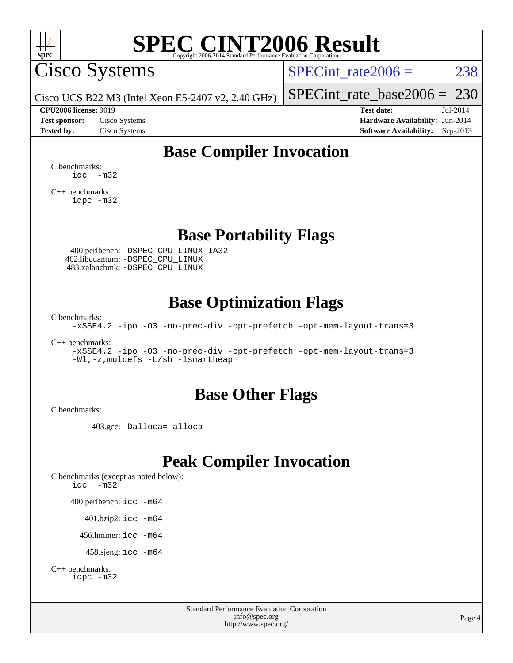

Cisco Systems

SPECint rate $2006 = 238$ 

Cisco UCS B22 M3 (Intel Xeon E5-2407 v2, 2.40 GHz)

[SPECint\\_rate\\_base2006 =](http://www.spec.org/auto/cpu2006/Docs/result-fields.html#SPECintratebase2006) 230 **[CPU2006 license:](http://www.spec.org/auto/cpu2006/Docs/result-fields.html#CPU2006license)** 9019 **[Test date:](http://www.spec.org/auto/cpu2006/Docs/result-fields.html#Testdate)** Jul-2014

**[Test sponsor:](http://www.spec.org/auto/cpu2006/Docs/result-fields.html#Testsponsor)** Cisco Systems **[Hardware Availability:](http://www.spec.org/auto/cpu2006/Docs/result-fields.html#HardwareAvailability)** Jun-2014 **[Tested by:](http://www.spec.org/auto/cpu2006/Docs/result-fields.html#Testedby)** Cisco Systems **[Software Availability:](http://www.spec.org/auto/cpu2006/Docs/result-fields.html#SoftwareAvailability)** Sep-2013

### **[Base Compiler Invocation](http://www.spec.org/auto/cpu2006/Docs/result-fields.html#BaseCompilerInvocation)**

[C benchmarks](http://www.spec.org/auto/cpu2006/Docs/result-fields.html#Cbenchmarks):  $\text{icc}$   $-\text{m32}$ 

[C++ benchmarks:](http://www.spec.org/auto/cpu2006/Docs/result-fields.html#CXXbenchmarks) [icpc -m32](http://www.spec.org/cpu2006/results/res2014q3/cpu2006-20140903-31187.flags.html#user_CXXbase_intel_icpc_4e5a5ef1a53fd332b3c49e69c3330699)

**[Base Portability Flags](http://www.spec.org/auto/cpu2006/Docs/result-fields.html#BasePortabilityFlags)**

 400.perlbench: [-DSPEC\\_CPU\\_LINUX\\_IA32](http://www.spec.org/cpu2006/results/res2014q3/cpu2006-20140903-31187.flags.html#b400.perlbench_baseCPORTABILITY_DSPEC_CPU_LINUX_IA32) 462.libquantum: [-DSPEC\\_CPU\\_LINUX](http://www.spec.org/cpu2006/results/res2014q3/cpu2006-20140903-31187.flags.html#b462.libquantum_baseCPORTABILITY_DSPEC_CPU_LINUX) 483.xalancbmk: [-DSPEC\\_CPU\\_LINUX](http://www.spec.org/cpu2006/results/res2014q3/cpu2006-20140903-31187.flags.html#b483.xalancbmk_baseCXXPORTABILITY_DSPEC_CPU_LINUX)

### **[Base Optimization Flags](http://www.spec.org/auto/cpu2006/Docs/result-fields.html#BaseOptimizationFlags)**

[C benchmarks](http://www.spec.org/auto/cpu2006/Docs/result-fields.html#Cbenchmarks):

[-xSSE4.2](http://www.spec.org/cpu2006/results/res2014q3/cpu2006-20140903-31187.flags.html#user_CCbase_f-xSSE42_f91528193cf0b216347adb8b939d4107) [-ipo](http://www.spec.org/cpu2006/results/res2014q3/cpu2006-20140903-31187.flags.html#user_CCbase_f-ipo) [-O3](http://www.spec.org/cpu2006/results/res2014q3/cpu2006-20140903-31187.flags.html#user_CCbase_f-O3) [-no-prec-div](http://www.spec.org/cpu2006/results/res2014q3/cpu2006-20140903-31187.flags.html#user_CCbase_f-no-prec-div) [-opt-prefetch](http://www.spec.org/cpu2006/results/res2014q3/cpu2006-20140903-31187.flags.html#user_CCbase_f-opt-prefetch) [-opt-mem-layout-trans=3](http://www.spec.org/cpu2006/results/res2014q3/cpu2006-20140903-31187.flags.html#user_CCbase_f-opt-mem-layout-trans_a7b82ad4bd7abf52556d4961a2ae94d5)

[C++ benchmarks:](http://www.spec.org/auto/cpu2006/Docs/result-fields.html#CXXbenchmarks)

[-xSSE4.2](http://www.spec.org/cpu2006/results/res2014q3/cpu2006-20140903-31187.flags.html#user_CXXbase_f-xSSE42_f91528193cf0b216347adb8b939d4107) [-ipo](http://www.spec.org/cpu2006/results/res2014q3/cpu2006-20140903-31187.flags.html#user_CXXbase_f-ipo) [-O3](http://www.spec.org/cpu2006/results/res2014q3/cpu2006-20140903-31187.flags.html#user_CXXbase_f-O3) [-no-prec-div](http://www.spec.org/cpu2006/results/res2014q3/cpu2006-20140903-31187.flags.html#user_CXXbase_f-no-prec-div) [-opt-prefetch](http://www.spec.org/cpu2006/results/res2014q3/cpu2006-20140903-31187.flags.html#user_CXXbase_f-opt-prefetch) [-opt-mem-layout-trans=3](http://www.spec.org/cpu2006/results/res2014q3/cpu2006-20140903-31187.flags.html#user_CXXbase_f-opt-mem-layout-trans_a7b82ad4bd7abf52556d4961a2ae94d5) [-Wl,-z,muldefs](http://www.spec.org/cpu2006/results/res2014q3/cpu2006-20140903-31187.flags.html#user_CXXbase_link_force_multiple1_74079c344b956b9658436fd1b6dd3a8a) [-L/sh -lsmartheap](http://www.spec.org/cpu2006/results/res2014q3/cpu2006-20140903-31187.flags.html#user_CXXbase_SmartHeap_32f6c82aa1ed9c52345d30cf6e4a0499)

### **[Base Other Flags](http://www.spec.org/auto/cpu2006/Docs/result-fields.html#BaseOtherFlags)**

[C benchmarks](http://www.spec.org/auto/cpu2006/Docs/result-fields.html#Cbenchmarks):

403.gcc: [-Dalloca=\\_alloca](http://www.spec.org/cpu2006/results/res2014q3/cpu2006-20140903-31187.flags.html#b403.gcc_baseEXTRA_CFLAGS_Dalloca_be3056838c12de2578596ca5467af7f3)

## **[Peak Compiler Invocation](http://www.spec.org/auto/cpu2006/Docs/result-fields.html#PeakCompilerInvocation)**

[C benchmarks \(except as noted below\)](http://www.spec.org/auto/cpu2006/Docs/result-fields.html#Cbenchmarksexceptasnotedbelow): [icc -m32](http://www.spec.org/cpu2006/results/res2014q3/cpu2006-20140903-31187.flags.html#user_CCpeak_intel_icc_5ff4a39e364c98233615fdd38438c6f2) 400.perlbench: [icc -m64](http://www.spec.org/cpu2006/results/res2014q3/cpu2006-20140903-31187.flags.html#user_peakCCLD400_perlbench_intel_icc_64bit_bda6cc9af1fdbb0edc3795bac97ada53) 401.bzip2: [icc -m64](http://www.spec.org/cpu2006/results/res2014q3/cpu2006-20140903-31187.flags.html#user_peakCCLD401_bzip2_intel_icc_64bit_bda6cc9af1fdbb0edc3795bac97ada53)

456.hmmer: [icc -m64](http://www.spec.org/cpu2006/results/res2014q3/cpu2006-20140903-31187.flags.html#user_peakCCLD456_hmmer_intel_icc_64bit_bda6cc9af1fdbb0edc3795bac97ada53)

458.sjeng: [icc -m64](http://www.spec.org/cpu2006/results/res2014q3/cpu2006-20140903-31187.flags.html#user_peakCCLD458_sjeng_intel_icc_64bit_bda6cc9af1fdbb0edc3795bac97ada53)

```
C++ benchmarks: 
icpc -m32
```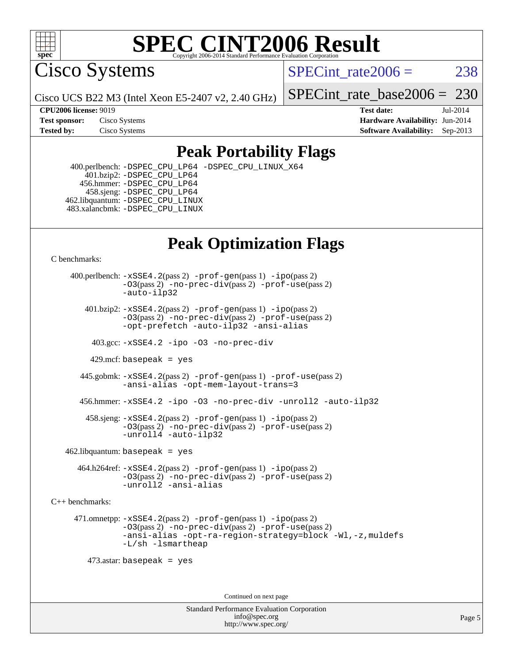

Cisco Systems

SPECint rate $2006 = 238$ 

Cisco UCS B22 M3 (Intel Xeon E5-2407 v2, 2.40 GHz)

[SPECint\\_rate\\_base2006 =](http://www.spec.org/auto/cpu2006/Docs/result-fields.html#SPECintratebase2006) 230

**[CPU2006 license:](http://www.spec.org/auto/cpu2006/Docs/result-fields.html#CPU2006license)** 9019 **[Test date:](http://www.spec.org/auto/cpu2006/Docs/result-fields.html#Testdate)** Jul-2014 **[Test sponsor:](http://www.spec.org/auto/cpu2006/Docs/result-fields.html#Testsponsor)** Cisco Systems **[Hardware Availability:](http://www.spec.org/auto/cpu2006/Docs/result-fields.html#HardwareAvailability)** Jun-2014 **[Tested by:](http://www.spec.org/auto/cpu2006/Docs/result-fields.html#Testedby)** Cisco Systems **[Software Availability:](http://www.spec.org/auto/cpu2006/Docs/result-fields.html#SoftwareAvailability)** Sep-2013

### **[Peak Portability Flags](http://www.spec.org/auto/cpu2006/Docs/result-fields.html#PeakPortabilityFlags)**

 400.perlbench: [-DSPEC\\_CPU\\_LP64](http://www.spec.org/cpu2006/results/res2014q3/cpu2006-20140903-31187.flags.html#b400.perlbench_peakCPORTABILITY_DSPEC_CPU_LP64) [-DSPEC\\_CPU\\_LINUX\\_X64](http://www.spec.org/cpu2006/results/res2014q3/cpu2006-20140903-31187.flags.html#b400.perlbench_peakCPORTABILITY_DSPEC_CPU_LINUX_X64) 401.bzip2: [-DSPEC\\_CPU\\_LP64](http://www.spec.org/cpu2006/results/res2014q3/cpu2006-20140903-31187.flags.html#suite_peakCPORTABILITY401_bzip2_DSPEC_CPU_LP64) 456.hmmer: [-DSPEC\\_CPU\\_LP64](http://www.spec.org/cpu2006/results/res2014q3/cpu2006-20140903-31187.flags.html#suite_peakCPORTABILITY456_hmmer_DSPEC_CPU_LP64) 458.sjeng: [-DSPEC\\_CPU\\_LP64](http://www.spec.org/cpu2006/results/res2014q3/cpu2006-20140903-31187.flags.html#suite_peakCPORTABILITY458_sjeng_DSPEC_CPU_LP64) 462.libquantum: [-DSPEC\\_CPU\\_LINUX](http://www.spec.org/cpu2006/results/res2014q3/cpu2006-20140903-31187.flags.html#b462.libquantum_peakCPORTABILITY_DSPEC_CPU_LINUX) 483.xalancbmk: [-DSPEC\\_CPU\\_LINUX](http://www.spec.org/cpu2006/results/res2014q3/cpu2006-20140903-31187.flags.html#b483.xalancbmk_peakCXXPORTABILITY_DSPEC_CPU_LINUX)

## **[Peak Optimization Flags](http://www.spec.org/auto/cpu2006/Docs/result-fields.html#PeakOptimizationFlags)**

[C benchmarks](http://www.spec.org/auto/cpu2006/Docs/result-fields.html#Cbenchmarks):

 400.perlbench: [-xSSE4.2](http://www.spec.org/cpu2006/results/res2014q3/cpu2006-20140903-31187.flags.html#user_peakPASS2_CFLAGSPASS2_LDCFLAGS400_perlbench_f-xSSE42_f91528193cf0b216347adb8b939d4107)(pass 2) [-prof-gen](http://www.spec.org/cpu2006/results/res2014q3/cpu2006-20140903-31187.flags.html#user_peakPASS1_CFLAGSPASS1_LDCFLAGS400_perlbench_prof_gen_e43856698f6ca7b7e442dfd80e94a8fc)(pass 1) [-ipo](http://www.spec.org/cpu2006/results/res2014q3/cpu2006-20140903-31187.flags.html#user_peakPASS2_CFLAGSPASS2_LDCFLAGS400_perlbench_f-ipo)(pass 2) [-O3](http://www.spec.org/cpu2006/results/res2014q3/cpu2006-20140903-31187.flags.html#user_peakPASS2_CFLAGSPASS2_LDCFLAGS400_perlbench_f-O3)(pass 2) [-no-prec-div](http://www.spec.org/cpu2006/results/res2014q3/cpu2006-20140903-31187.flags.html#user_peakPASS2_CFLAGSPASS2_LDCFLAGS400_perlbench_f-no-prec-div)(pass 2) [-prof-use](http://www.spec.org/cpu2006/results/res2014q3/cpu2006-20140903-31187.flags.html#user_peakPASS2_CFLAGSPASS2_LDCFLAGS400_perlbench_prof_use_bccf7792157ff70d64e32fe3e1250b55)(pass 2) [-auto-ilp32](http://www.spec.org/cpu2006/results/res2014q3/cpu2006-20140903-31187.flags.html#user_peakCOPTIMIZE400_perlbench_f-auto-ilp32)  $401.bzip2: -xSSE4.2(pass 2) -prof-qen(pass 1) -ipo(pass 2)$  $401.bzip2: -xSSE4.2(pass 2) -prof-qen(pass 1) -ipo(pass 2)$  $401.bzip2: -xSSE4.2(pass 2) -prof-qen(pass 1) -ipo(pass 2)$  $401.bzip2: -xSSE4.2(pass 2) -prof-qen(pass 1) -ipo(pass 2)$  $401.bzip2: -xSSE4.2(pass 2) -prof-qen(pass 1) -ipo(pass 2)$ [-O3](http://www.spec.org/cpu2006/results/res2014q3/cpu2006-20140903-31187.flags.html#user_peakPASS2_CFLAGSPASS2_LDCFLAGS401_bzip2_f-O3)(pass 2) [-no-prec-div](http://www.spec.org/cpu2006/results/res2014q3/cpu2006-20140903-31187.flags.html#user_peakPASS2_CFLAGSPASS2_LDCFLAGS401_bzip2_f-no-prec-div)(pass 2) [-prof-use](http://www.spec.org/cpu2006/results/res2014q3/cpu2006-20140903-31187.flags.html#user_peakPASS2_CFLAGSPASS2_LDCFLAGS401_bzip2_prof_use_bccf7792157ff70d64e32fe3e1250b55)(pass 2) [-opt-prefetch](http://www.spec.org/cpu2006/results/res2014q3/cpu2006-20140903-31187.flags.html#user_peakCOPTIMIZE401_bzip2_f-opt-prefetch) [-auto-ilp32](http://www.spec.org/cpu2006/results/res2014q3/cpu2006-20140903-31187.flags.html#user_peakCOPTIMIZE401_bzip2_f-auto-ilp32) [-ansi-alias](http://www.spec.org/cpu2006/results/res2014q3/cpu2006-20140903-31187.flags.html#user_peakCOPTIMIZE401_bzip2_f-ansi-alias) 403.gcc: [-xSSE4.2](http://www.spec.org/cpu2006/results/res2014q3/cpu2006-20140903-31187.flags.html#user_peakCOPTIMIZE403_gcc_f-xSSE42_f91528193cf0b216347adb8b939d4107) [-ipo](http://www.spec.org/cpu2006/results/res2014q3/cpu2006-20140903-31187.flags.html#user_peakCOPTIMIZE403_gcc_f-ipo) [-O3](http://www.spec.org/cpu2006/results/res2014q3/cpu2006-20140903-31187.flags.html#user_peakCOPTIMIZE403_gcc_f-O3) [-no-prec-div](http://www.spec.org/cpu2006/results/res2014q3/cpu2006-20140903-31187.flags.html#user_peakCOPTIMIZE403_gcc_f-no-prec-div) 429.mcf: basepeak = yes 445.gobmk: [-xSSE4.2](http://www.spec.org/cpu2006/results/res2014q3/cpu2006-20140903-31187.flags.html#user_peakPASS2_CFLAGSPASS2_LDCFLAGS445_gobmk_f-xSSE42_f91528193cf0b216347adb8b939d4107)(pass 2) [-prof-gen](http://www.spec.org/cpu2006/results/res2014q3/cpu2006-20140903-31187.flags.html#user_peakPASS1_CFLAGSPASS1_LDCFLAGS445_gobmk_prof_gen_e43856698f6ca7b7e442dfd80e94a8fc)(pass 1) [-prof-use](http://www.spec.org/cpu2006/results/res2014q3/cpu2006-20140903-31187.flags.html#user_peakPASS2_CFLAGSPASS2_LDCFLAGS445_gobmk_prof_use_bccf7792157ff70d64e32fe3e1250b55)(pass 2) [-ansi-alias](http://www.spec.org/cpu2006/results/res2014q3/cpu2006-20140903-31187.flags.html#user_peakCOPTIMIZE445_gobmk_f-ansi-alias) [-opt-mem-layout-trans=3](http://www.spec.org/cpu2006/results/res2014q3/cpu2006-20140903-31187.flags.html#user_peakCOPTIMIZE445_gobmk_f-opt-mem-layout-trans_a7b82ad4bd7abf52556d4961a2ae94d5) 456.hmmer: [-xSSE4.2](http://www.spec.org/cpu2006/results/res2014q3/cpu2006-20140903-31187.flags.html#user_peakCOPTIMIZE456_hmmer_f-xSSE42_f91528193cf0b216347adb8b939d4107) [-ipo](http://www.spec.org/cpu2006/results/res2014q3/cpu2006-20140903-31187.flags.html#user_peakCOPTIMIZE456_hmmer_f-ipo) [-O3](http://www.spec.org/cpu2006/results/res2014q3/cpu2006-20140903-31187.flags.html#user_peakCOPTIMIZE456_hmmer_f-O3) [-no-prec-div](http://www.spec.org/cpu2006/results/res2014q3/cpu2006-20140903-31187.flags.html#user_peakCOPTIMIZE456_hmmer_f-no-prec-div) [-unroll2](http://www.spec.org/cpu2006/results/res2014q3/cpu2006-20140903-31187.flags.html#user_peakCOPTIMIZE456_hmmer_f-unroll_784dae83bebfb236979b41d2422d7ec2) [-auto-ilp32](http://www.spec.org/cpu2006/results/res2014q3/cpu2006-20140903-31187.flags.html#user_peakCOPTIMIZE456_hmmer_f-auto-ilp32) 458.sjeng: [-xSSE4.2](http://www.spec.org/cpu2006/results/res2014q3/cpu2006-20140903-31187.flags.html#user_peakPASS2_CFLAGSPASS2_LDCFLAGS458_sjeng_f-xSSE42_f91528193cf0b216347adb8b939d4107)(pass 2) [-prof-gen](http://www.spec.org/cpu2006/results/res2014q3/cpu2006-20140903-31187.flags.html#user_peakPASS1_CFLAGSPASS1_LDCFLAGS458_sjeng_prof_gen_e43856698f6ca7b7e442dfd80e94a8fc)(pass 1) [-ipo](http://www.spec.org/cpu2006/results/res2014q3/cpu2006-20140903-31187.flags.html#user_peakPASS2_CFLAGSPASS2_LDCFLAGS458_sjeng_f-ipo)(pass 2) [-O3](http://www.spec.org/cpu2006/results/res2014q3/cpu2006-20140903-31187.flags.html#user_peakPASS2_CFLAGSPASS2_LDCFLAGS458_sjeng_f-O3)(pass 2) [-no-prec-div](http://www.spec.org/cpu2006/results/res2014q3/cpu2006-20140903-31187.flags.html#user_peakPASS2_CFLAGSPASS2_LDCFLAGS458_sjeng_f-no-prec-div)(pass 2) [-prof-use](http://www.spec.org/cpu2006/results/res2014q3/cpu2006-20140903-31187.flags.html#user_peakPASS2_CFLAGSPASS2_LDCFLAGS458_sjeng_prof_use_bccf7792157ff70d64e32fe3e1250b55)(pass 2) [-unroll4](http://www.spec.org/cpu2006/results/res2014q3/cpu2006-20140903-31187.flags.html#user_peakCOPTIMIZE458_sjeng_f-unroll_4e5e4ed65b7fd20bdcd365bec371b81f) [-auto-ilp32](http://www.spec.org/cpu2006/results/res2014q3/cpu2006-20140903-31187.flags.html#user_peakCOPTIMIZE458_sjeng_f-auto-ilp32)  $462$ .libquantum: basepeak = yes 464.h264ref: [-xSSE4.2](http://www.spec.org/cpu2006/results/res2014q3/cpu2006-20140903-31187.flags.html#user_peakPASS2_CFLAGSPASS2_LDCFLAGS464_h264ref_f-xSSE42_f91528193cf0b216347adb8b939d4107)(pass 2) [-prof-gen](http://www.spec.org/cpu2006/results/res2014q3/cpu2006-20140903-31187.flags.html#user_peakPASS1_CFLAGSPASS1_LDCFLAGS464_h264ref_prof_gen_e43856698f6ca7b7e442dfd80e94a8fc)(pass 1) [-ipo](http://www.spec.org/cpu2006/results/res2014q3/cpu2006-20140903-31187.flags.html#user_peakPASS2_CFLAGSPASS2_LDCFLAGS464_h264ref_f-ipo)(pass 2) [-O3](http://www.spec.org/cpu2006/results/res2014q3/cpu2006-20140903-31187.flags.html#user_peakPASS2_CFLAGSPASS2_LDCFLAGS464_h264ref_f-O3)(pass 2) [-no-prec-div](http://www.spec.org/cpu2006/results/res2014q3/cpu2006-20140903-31187.flags.html#user_peakPASS2_CFLAGSPASS2_LDCFLAGS464_h264ref_f-no-prec-div)(pass 2) [-prof-use](http://www.spec.org/cpu2006/results/res2014q3/cpu2006-20140903-31187.flags.html#user_peakPASS2_CFLAGSPASS2_LDCFLAGS464_h264ref_prof_use_bccf7792157ff70d64e32fe3e1250b55)(pass 2) [-unroll2](http://www.spec.org/cpu2006/results/res2014q3/cpu2006-20140903-31187.flags.html#user_peakCOPTIMIZE464_h264ref_f-unroll_784dae83bebfb236979b41d2422d7ec2) [-ansi-alias](http://www.spec.org/cpu2006/results/res2014q3/cpu2006-20140903-31187.flags.html#user_peakCOPTIMIZE464_h264ref_f-ansi-alias) [C++ benchmarks:](http://www.spec.org/auto/cpu2006/Docs/result-fields.html#CXXbenchmarks) 471.omnetpp: [-xSSE4.2](http://www.spec.org/cpu2006/results/res2014q3/cpu2006-20140903-31187.flags.html#user_peakPASS2_CXXFLAGSPASS2_LDCXXFLAGS471_omnetpp_f-xSSE42_f91528193cf0b216347adb8b939d4107)(pass 2) [-prof-gen](http://www.spec.org/cpu2006/results/res2014q3/cpu2006-20140903-31187.flags.html#user_peakPASS1_CXXFLAGSPASS1_LDCXXFLAGS471_omnetpp_prof_gen_e43856698f6ca7b7e442dfd80e94a8fc)(pass 1) [-ipo](http://www.spec.org/cpu2006/results/res2014q3/cpu2006-20140903-31187.flags.html#user_peakPASS2_CXXFLAGSPASS2_LDCXXFLAGS471_omnetpp_f-ipo)(pass 2) [-O3](http://www.spec.org/cpu2006/results/res2014q3/cpu2006-20140903-31187.flags.html#user_peakPASS2_CXXFLAGSPASS2_LDCXXFLAGS471_omnetpp_f-O3)(pass 2) [-no-prec-div](http://www.spec.org/cpu2006/results/res2014q3/cpu2006-20140903-31187.flags.html#user_peakPASS2_CXXFLAGSPASS2_LDCXXFLAGS471_omnetpp_f-no-prec-div)(pass 2) [-prof-use](http://www.spec.org/cpu2006/results/res2014q3/cpu2006-20140903-31187.flags.html#user_peakPASS2_CXXFLAGSPASS2_LDCXXFLAGS471_omnetpp_prof_use_bccf7792157ff70d64e32fe3e1250b55)(pass 2) [-ansi-alias](http://www.spec.org/cpu2006/results/res2014q3/cpu2006-20140903-31187.flags.html#user_peakCXXOPTIMIZE471_omnetpp_f-ansi-alias) [-opt-ra-region-strategy=block](http://www.spec.org/cpu2006/results/res2014q3/cpu2006-20140903-31187.flags.html#user_peakCXXOPTIMIZE471_omnetpp_f-opt-ra-region-strategy_a0a37c372d03933b2a18d4af463c1f69) [-Wl,-z,muldefs](http://www.spec.org/cpu2006/results/res2014q3/cpu2006-20140903-31187.flags.html#user_peakEXTRA_LDFLAGS471_omnetpp_link_force_multiple1_74079c344b956b9658436fd1b6dd3a8a) [-L/sh -lsmartheap](http://www.spec.org/cpu2006/results/res2014q3/cpu2006-20140903-31187.flags.html#user_peakEXTRA_LIBS471_omnetpp_SmartHeap_32f6c82aa1ed9c52345d30cf6e4a0499) 473.astar: basepeak = yes Continued on next page